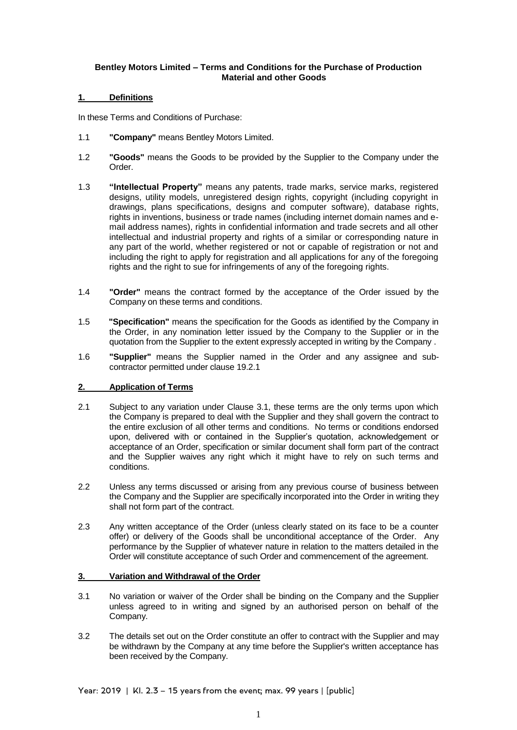# **Bentley Motors Limited – Terms and Conditions for the Purchase of Production Material and other Goods**

## **1. Definitions**

In these Terms and Conditions of Purchase:

- 1.1 **"Company"** means Bentley Motors Limited.
- 1.2 **"Goods"** means the Goods to be provided by the Supplier to the Company under the Order.
- 1.3 **"Intellectual Property"** means any patents, trade marks, service marks, registered designs, utility models, unregistered design rights, copyright (including copyright in drawings, plans specifications, designs and computer software), database rights, rights in inventions, business or trade names (including internet domain names and email address names), rights in confidential information and trade secrets and all other intellectual and industrial property and rights of a similar or corresponding nature in any part of the world, whether registered or not or capable of registration or not and including the right to apply for registration and all applications for any of the foregoing rights and the right to sue for infringements of any of the foregoing rights.
- 1.4 **"Order"** means the contract formed by the acceptance of the Order issued by the Company on these terms and conditions.
- 1.5 **"Specification"** means the specification for the Goods as identified by the Company in the Order, in any nomination letter issued by the Company to the Supplier or in the quotation from the Supplier to the extent expressly accepted in writing by the Company .
- 1.6 **"Supplier"** means the Supplier named in the Order and any assignee and subcontractor permitted under clause 19.2.1

# **2. Application of Terms**

- 2.1 Subject to any variation under Clause 3.1, these terms are the only terms upon which the Company is prepared to deal with the Supplier and they shall govern the contract to the entire exclusion of all other terms and conditions. No terms or conditions endorsed upon, delivered with or contained in the Supplier's quotation, acknowledgement or acceptance of an Order, specification or similar document shall form part of the contract and the Supplier waives any right which it might have to rely on such terms and conditions.
- 2.2 Unless any terms discussed or arising from any previous course of business between the Company and the Supplier are specifically incorporated into the Order in writing they shall not form part of the contract.
- 2.3 Any written acceptance of the Order (unless clearly stated on its face to be a counter offer) or delivery of the Goods shall be unconditional acceptance of the Order. Any performance by the Supplier of whatever nature in relation to the matters detailed in the Order will constitute acceptance of such Order and commencement of the agreement.

### **3. Variation and Withdrawal of the Order**

- 3.1 No variation or waiver of the Order shall be binding on the Company and the Supplier unless agreed to in writing and signed by an authorised person on behalf of the Company.
- 3.2 The details set out on the Order constitute an offer to contract with the Supplier and may be withdrawn by the Company at any time before the Supplier's written acceptance has been received by the Company.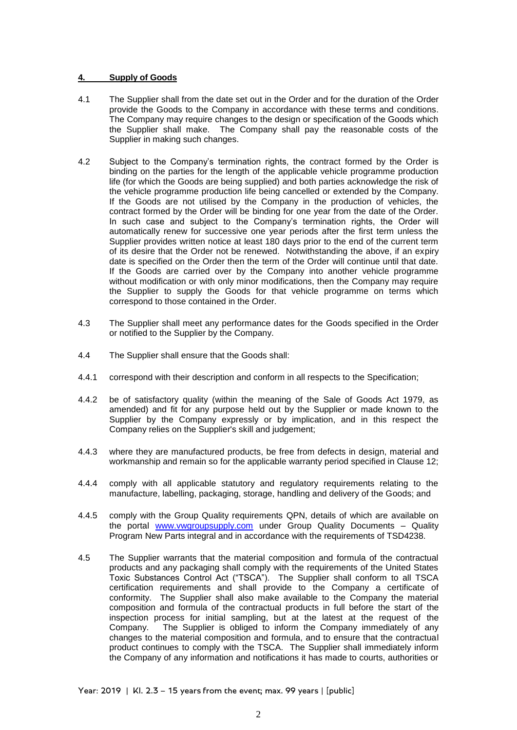## **4. Supply of Goods**

- 4.1 The Supplier shall from the date set out in the Order and for the duration of the Order provide the Goods to the Company in accordance with these terms and conditions. The Company may require changes to the design or specification of the Goods which the Supplier shall make. The Company shall pay the reasonable costs of the Supplier in making such changes.
- 4.2 Subject to the Company's termination rights, the contract formed by the Order is binding on the parties for the length of the applicable vehicle programme production life (for which the Goods are being supplied) and both parties acknowledge the risk of the vehicle programme production life being cancelled or extended by the Company. If the Goods are not utilised by the Company in the production of vehicles, the contract formed by the Order will be binding for one year from the date of the Order. In such case and subject to the Company's termination rights, the Order will automatically renew for successive one year periods after the first term unless the Supplier provides written notice at least 180 days prior to the end of the current term of its desire that the Order not be renewed. Notwithstanding the above, if an expiry date is specified on the Order then the term of the Order will continue until that date. If the Goods are carried over by the Company into another vehicle programme without modification or with only minor modifications, then the Company may require the Supplier to supply the Goods for that vehicle programme on terms which correspond to those contained in the Order.
- 4.3 The Supplier shall meet any performance dates for the Goods specified in the Order or notified to the Supplier by the Company.
- 4.4 The Supplier shall ensure that the Goods shall:
- 4.4.1 correspond with their description and conform in all respects to the Specification;
- 4.4.2 be of satisfactory quality (within the meaning of the Sale of Goods Act 1979, as amended) and fit for any purpose held out by the Supplier or made known to the Supplier by the Company expressly or by implication, and in this respect the Company relies on the Supplier's skill and judgement;
- 4.4.3 where they are manufactured products, be free from defects in design, material and workmanship and remain so for the applicable warranty period specified in Clause 12;
- 4.4.4 comply with all applicable statutory and regulatory requirements relating to the manufacture, labelling, packaging, storage, handling and delivery of the Goods; and
- 4.4.5 comply with the Group Quality requirements QPN, details of which are available on the portal [www.vwgroupsupply.com](http://www.vwgroupsupply.com/) under Group Quality Documents – Quality Program New Parts integral and in accordance with the requirements of TSD4238.
- 4.5 The Supplier warrants that the material composition and formula of the contractual products and any packaging shall comply with the requirements of the United States Toxic Substances Control Act ("TSCA"). The Supplier shall conform to all TSCA certification requirements and shall provide to the Company a certificate of conformity. The Supplier shall also make available to the Company the material composition and formula of the contractual products in full before the start of the inspection process for initial sampling, but at the latest at the request of the Company. The Supplier is obliged to inform the Company immediately of any changes to the material composition and formula, and to ensure that the contractual product continues to comply with the TSCA. The Supplier shall immediately inform the Company of any information and notifications it has made to courts, authorities or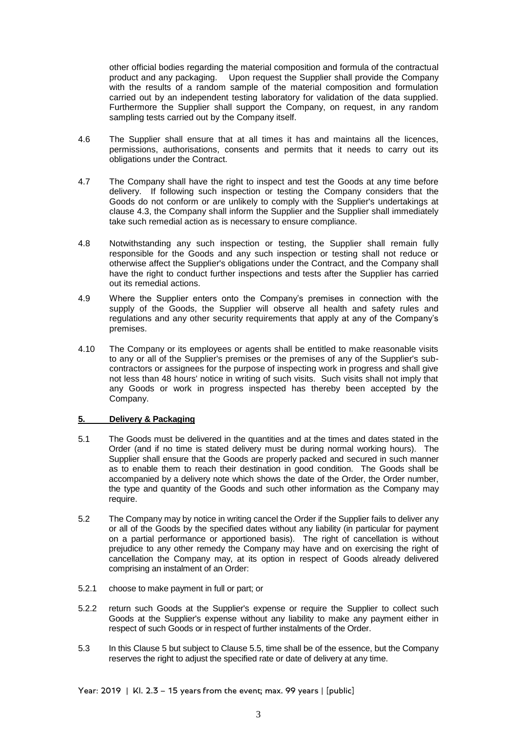other official bodies regarding the material composition and formula of the contractual product and any packaging. Upon request the Supplier shall provide the Company with the results of a random sample of the material composition and formulation carried out by an independent testing laboratory for validation of the data supplied. Furthermore the Supplier shall support the Company, on request, in any random sampling tests carried out by the Company itself.

- 4.6 The Supplier shall ensure that at all times it has and maintains all the licences, permissions, authorisations, consents and permits that it needs to carry out its obligations under the Contract.
- 4.7 The Company shall have the right to inspect and test the Goods at any time before delivery. If following such inspection or testing the Company considers that the Goods do not conform or are unlikely to comply with the Supplier's undertakings at clause 4.3, the Company shall inform the Supplier and the Supplier shall immediately take such remedial action as is necessary to ensure compliance.
- 4.8 Notwithstanding any such inspection or testing, the Supplier shall remain fully responsible for the Goods and any such inspection or testing shall not reduce or otherwise affect the Supplier's obligations under the Contract, and the Company shall have the right to conduct further inspections and tests after the Supplier has carried out its remedial actions.
- 4.9 Where the Supplier enters onto the Company's premises in connection with the supply of the Goods, the Supplier will observe all health and safety rules and regulations and any other security requirements that apply at any of the Company's premises.
- 4.10 The Company or its employees or agents shall be entitled to make reasonable visits to any or all of the Supplier's premises or the premises of any of the Supplier's subcontractors or assignees for the purpose of inspecting work in progress and shall give not less than 48 hours' notice in writing of such visits. Such visits shall not imply that any Goods or work in progress inspected has thereby been accepted by the Company.

# **5. Delivery & Packaging**

- 5.1 The Goods must be delivered in the quantities and at the times and dates stated in the Order (and if no time is stated delivery must be during normal working hours). The Supplier shall ensure that the Goods are properly packed and secured in such manner as to enable them to reach their destination in good condition. The Goods shall be accompanied by a delivery note which shows the date of the Order, the Order number, the type and quantity of the Goods and such other information as the Company may require.
- 5.2 The Company may by notice in writing cancel the Order if the Supplier fails to deliver any or all of the Goods by the specified dates without any liability (in particular for payment on a partial performance or apportioned basis). The right of cancellation is without prejudice to any other remedy the Company may have and on exercising the right of cancellation the Company may, at its option in respect of Goods already delivered comprising an instalment of an Order:
- 5.2.1 choose to make payment in full or part; or
- 5.2.2 return such Goods at the Supplier's expense or require the Supplier to collect such Goods at the Supplier's expense without any liability to make any payment either in respect of such Goods or in respect of further instalments of the Order.
- 5.3 In this Clause 5 but subject to Clause 5.5, time shall be of the essence, but the Company reserves the right to adjust the specified rate or date of delivery at any time.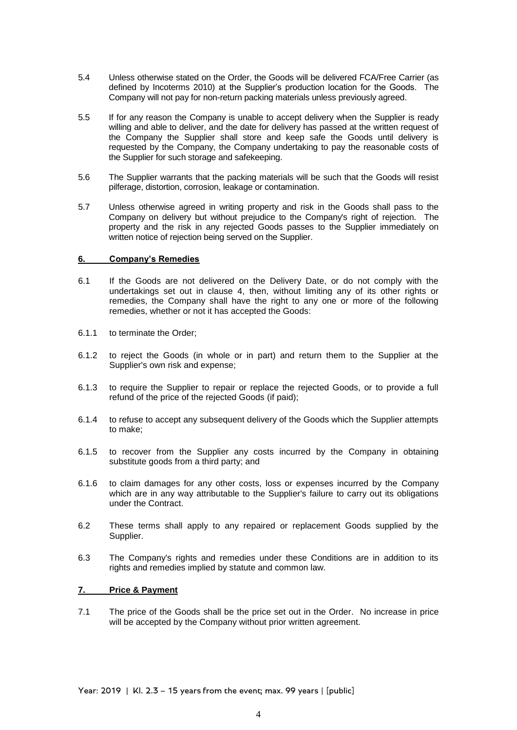- 5.4 Unless otherwise stated on the Order, the Goods will be delivered FCA/Free Carrier (as defined by Incoterms 2010) at the Supplier's production location for the Goods. The Company will not pay for non-return packing materials unless previously agreed.
- 5.5 If for any reason the Company is unable to accept delivery when the Supplier is ready willing and able to deliver, and the date for delivery has passed at the written request of the Company the Supplier shall store and keep safe the Goods until delivery is requested by the Company, the Company undertaking to pay the reasonable costs of the Supplier for such storage and safekeeping.
- 5.6 The Supplier warrants that the packing materials will be such that the Goods will resist pilferage, distortion, corrosion, leakage or contamination.
- 5.7 Unless otherwise agreed in writing property and risk in the Goods shall pass to the Company on delivery but without prejudice to the Company's right of rejection. The property and the risk in any rejected Goods passes to the Supplier immediately on written notice of rejection being served on the Supplier.

### **6. Company's Remedies**

- 6.1 If the Goods are not delivered on the Delivery Date, or do not comply with the undertakings set out in clause 4, then, without limiting any of its other rights or remedies, the Company shall have the right to any one or more of the following remedies, whether or not it has accepted the Goods:
- 6.1.1 to terminate the Order;
- 6.1.2 to reject the Goods (in whole or in part) and return them to the Supplier at the Supplier's own risk and expense;
- 6.1.3 to require the Supplier to repair or replace the rejected Goods, or to provide a full refund of the price of the rejected Goods (if paid);
- 6.1.4 to refuse to accept any subsequent delivery of the Goods which the Supplier attempts to make;
- 6.1.5 to recover from the Supplier any costs incurred by the Company in obtaining substitute goods from a third party; and
- 6.1.6 to claim damages for any other costs, loss or expenses incurred by the Company which are in any way attributable to the Supplier's failure to carry out its obligations under the Contract.
- 6.2 These terms shall apply to any repaired or replacement Goods supplied by the Supplier.
- 6.3 The Company's rights and remedies under these Conditions are in addition to its rights and remedies implied by statute and common law.

### **7. Price & Payment**

7.1 The price of the Goods shall be the price set out in the Order. No increase in price will be accepted by the Company without prior written agreement.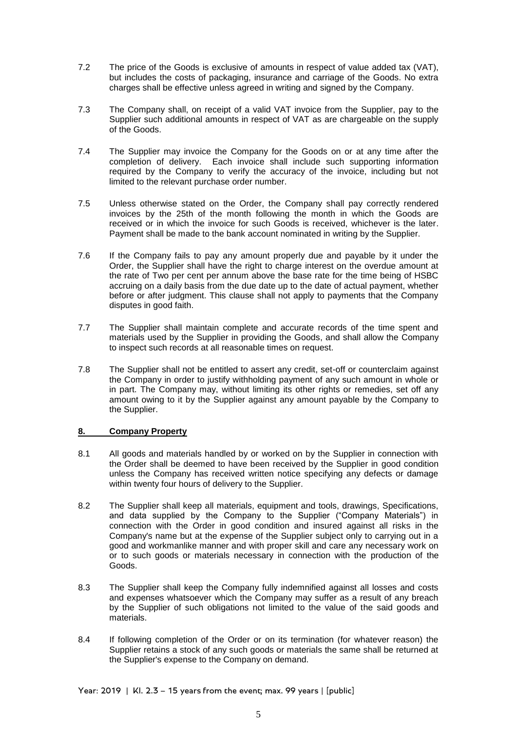- 7.2 The price of the Goods is exclusive of amounts in respect of value added tax (VAT), but includes the costs of packaging, insurance and carriage of the Goods. No extra charges shall be effective unless agreed in writing and signed by the Company.
- 7.3 The Company shall, on receipt of a valid VAT invoice from the Supplier, pay to the Supplier such additional amounts in respect of VAT as are chargeable on the supply of the Goods.
- 7.4 The Supplier may invoice the Company for the Goods on or at any time after the completion of delivery. Each invoice shall include such supporting information required by the Company to verify the accuracy of the invoice, including but not limited to the relevant purchase order number.
- 7.5 Unless otherwise stated on the Order, the Company shall pay correctly rendered invoices by the 25th of the month following the month in which the Goods are received or in which the invoice for such Goods is received, whichever is the later. Payment shall be made to the bank account nominated in writing by the Supplier.
- 7.6 If the Company fails to pay any amount properly due and payable by it under the Order, the Supplier shall have the right to charge interest on the overdue amount at the rate of Two per cent per annum above the base rate for the time being of HSBC accruing on a daily basis from the due date up to the date of actual payment, whether before or after judgment. This clause shall not apply to payments that the Company disputes in good faith.
- 7.7 The Supplier shall maintain complete and accurate records of the time spent and materials used by the Supplier in providing the Goods, and shall allow the Company to inspect such records at all reasonable times on request.
- 7.8 The Supplier shall not be entitled to assert any credit, set-off or counterclaim against the Company in order to justify withholding payment of any such amount in whole or in part. The Company may, without limiting its other rights or remedies, set off any amount owing to it by the Supplier against any amount payable by the Company to the Supplier.

# **8. Company Property**

- 8.1 All goods and materials handled by or worked on by the Supplier in connection with the Order shall be deemed to have been received by the Supplier in good condition unless the Company has received written notice specifying any defects or damage within twenty four hours of delivery to the Supplier.
- 8.2 The Supplier shall keep all materials, equipment and tools, drawings, Specifications, and data supplied by the Company to the Supplier ("Company Materials") in connection with the Order in good condition and insured against all risks in the Company's name but at the expense of the Supplier subject only to carrying out in a good and workmanlike manner and with proper skill and care any necessary work on or to such goods or materials necessary in connection with the production of the Goods.
- 8.3 The Supplier shall keep the Company fully indemnified against all losses and costs and expenses whatsoever which the Company may suffer as a result of any breach by the Supplier of such obligations not limited to the value of the said goods and materials.
- 8.4 If following completion of the Order or on its termination (for whatever reason) the Supplier retains a stock of any such goods or materials the same shall be returned at the Supplier's expense to the Company on demand.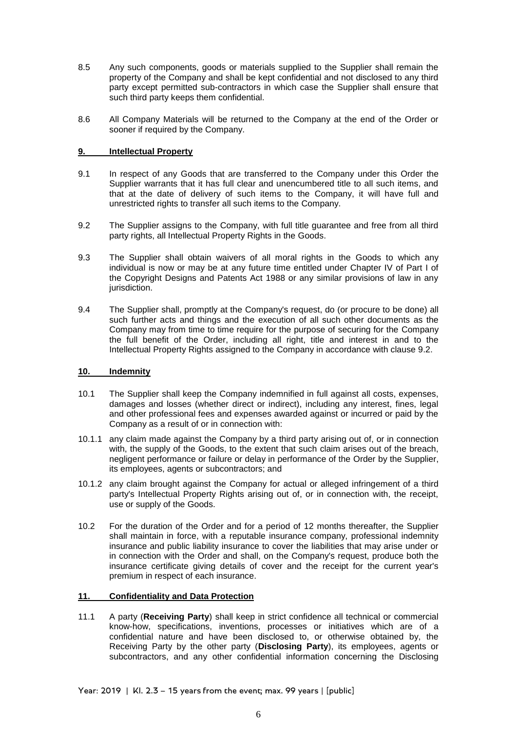- 8.5 Any such components, goods or materials supplied to the Supplier shall remain the property of the Company and shall be kept confidential and not disclosed to any third party except permitted sub-contractors in which case the Supplier shall ensure that such third party keeps them confidential.
- 8.6 All Company Materials will be returned to the Company at the end of the Order or sooner if required by the Company.

# **9. Intellectual Property**

- 9.1 In respect of any Goods that are transferred to the Company under this Order the Supplier warrants that it has full clear and unencumbered title to all such items, and that at the date of delivery of such items to the Company, it will have full and unrestricted rights to transfer all such items to the Company.
- 9.2 The Supplier assigns to the Company, with full title guarantee and free from all third party rights, all Intellectual Property Rights in the Goods.
- 9.3 The Supplier shall obtain waivers of all moral rights in the Goods to which any individual is now or may be at any future time entitled under Chapter IV of Part I of the Copyright Designs and Patents Act 1988 or any similar provisions of law in any jurisdiction.
- 9.4 The Supplier shall, promptly at the Company's request, do (or procure to be done) all such further acts and things and the execution of all such other documents as the Company may from time to time require for the purpose of securing for the Company the full benefit of the Order, including all right, title and interest in and to the Intellectual Property Rights assigned to the Company in accordance with clause 9.2.

### **10. Indemnity**

- 10.1 The Supplier shall keep the Company indemnified in full against all costs, expenses, damages and losses (whether direct or indirect), including any interest, fines, legal and other professional fees and expenses awarded against or incurred or paid by the Company as a result of or in connection with:
- 10.1.1 any claim made against the Company by a third party arising out of, or in connection with, the supply of the Goods, to the extent that such claim arises out of the breach, negligent performance or failure or delay in performance of the Order by the Supplier, its employees, agents or subcontractors; and
- 10.1.2 any claim brought against the Company for actual or alleged infringement of a third party's Intellectual Property Rights arising out of, or in connection with, the receipt, use or supply of the Goods.
- 10.2 For the duration of the Order and for a period of 12 months thereafter, the Supplier shall maintain in force, with a reputable insurance company, professional indemnity insurance and public liability insurance to cover the liabilities that may arise under or in connection with the Order and shall, on the Company's request, produce both the insurance certificate giving details of cover and the receipt for the current year's premium in respect of each insurance.

# **11. Confidentiality and Data Protection**

11.1 A party (**Receiving Party**) shall keep in strict confidence all technical or commercial know-how, specifications, inventions, processes or initiatives which are of a confidential nature and have been disclosed to, or otherwise obtained by, the Receiving Party by the other party (**Disclosing Party**), its employees, agents or subcontractors, and any other confidential information concerning the Disclosing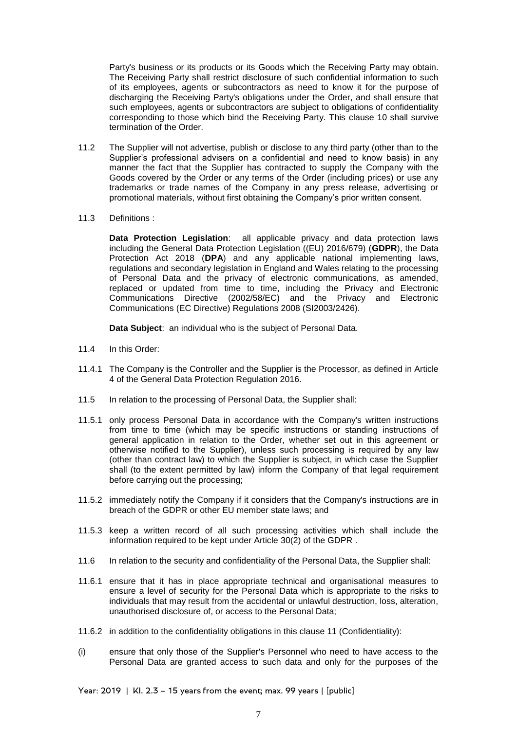Party's business or its products or its Goods which the Receiving Party may obtain. The Receiving Party shall restrict disclosure of such confidential information to such of its employees, agents or subcontractors as need to know it for the purpose of discharging the Receiving Party's obligations under the Order, and shall ensure that such employees, agents or subcontractors are subject to obligations of confidentiality corresponding to those which bind the Receiving Party. This clause 10 shall survive termination of the Order.

- 11.2 The Supplier will not advertise, publish or disclose to any third party (other than to the Supplier's professional advisers on a confidential and need to know basis) in any manner the fact that the Supplier has contracted to supply the Company with the Goods covered by the Order or any terms of the Order (including prices) or use any trademarks or trade names of the Company in any press release, advertising or promotional materials, without first obtaining the Company's prior written consent.
- 11.3 Definitions :

**Data Protection Legislation**: all applicable privacy and data protection laws including the General Data Protection Legislation ((EU) 2016/679) (**GDPR**), the Data Protection Act 2018 (**DPA**) and any applicable national implementing laws, regulations and secondary legislation in England and Wales relating to the processing of Personal Data and the privacy of electronic communications, as amended, replaced or updated from time to time, including the Privacy and Electronic Communications Directive (2002/58/EC) and the Privacy and Electronic Communications (EC Directive) Regulations 2008 (SI2003/2426).

**Data Subject**: an individual who is the subject of Personal Data.

- 11.4 In this Order:
- 11.4.1 The Company is the Controller and the Supplier is the Processor, as defined in Article 4 of the General Data Protection Regulation 2016.
- 11.5 In relation to the processing of Personal Data, the Supplier shall:
- 11.5.1 only process Personal Data in accordance with the Company's written instructions from time to time (which may be specific instructions or standing instructions of general application in relation to the Order, whether set out in this agreement or otherwise notified to the Supplier), unless such processing is required by any law (other than contract law) to which the Supplier is subject, in which case the Supplier shall (to the extent permitted by law) inform the Company of that legal requirement before carrying out the processing;
- 11.5.2 immediately notify the Company if it considers that the Company's instructions are in breach of the GDPR or other EU member state laws; and
- 11.5.3 keep a written record of all such processing activities which shall include the information required to be kept under Article 30(2) of the GDPR .
- 11.6 In relation to the security and confidentiality of the Personal Data, the Supplier shall:
- 11.6.1 ensure that it has in place appropriate technical and organisational measures to ensure a level of security for the Personal Data which is appropriate to the risks to individuals that may result from the accidental or unlawful destruction, loss, alteration, unauthorised disclosure of, or access to the Personal Data;
- 11.6.2 in addition to the confidentiality obligations in this clause 11 (Confidentiality):
- (i) ensure that only those of the Supplier's Personnel who need to have access to the Personal Data are granted access to such data and only for the purposes of the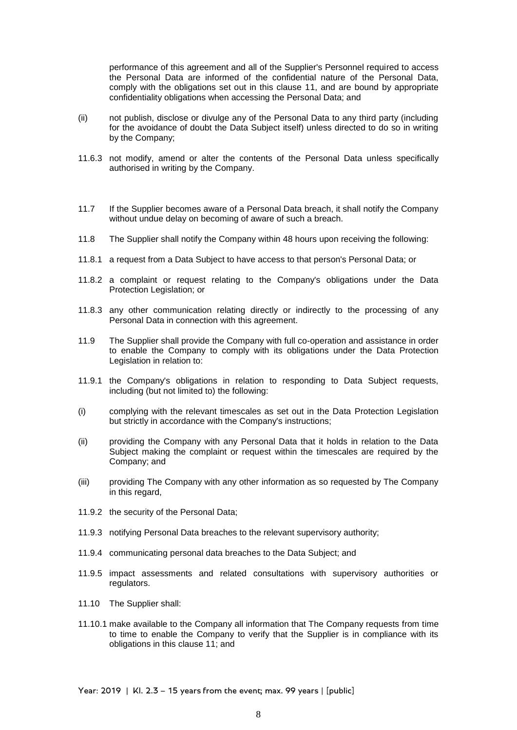performance of this agreement and all of the Supplier's Personnel required to access the Personal Data are informed of the confidential nature of the Personal Data, comply with the obligations set out in this clause 11, and are bound by appropriate confidentiality obligations when accessing the Personal Data; and

- (ii) not publish, disclose or divulge any of the Personal Data to any third party (including for the avoidance of doubt the Data Subject itself) unless directed to do so in writing by the Company;
- 11.6.3 not modify, amend or alter the contents of the Personal Data unless specifically authorised in writing by the Company.
- 11.7 If the Supplier becomes aware of a Personal Data breach, it shall notify the Company without undue delay on becoming of aware of such a breach.
- 11.8 The Supplier shall notify the Company within 48 hours upon receiving the following:
- 11.8.1 a request from a Data Subject to have access to that person's Personal Data; or
- 11.8.2 a complaint or request relating to the Company's obligations under the Data Protection Legislation; or
- 11.8.3 any other communication relating directly or indirectly to the processing of any Personal Data in connection with this agreement.
- 11.9 The Supplier shall provide the Company with full co-operation and assistance in order to enable the Company to comply with its obligations under the Data Protection Legislation in relation to:
- 11.9.1 the Company's obligations in relation to responding to Data Subject requests, including (but not limited to) the following:
- (i) complying with the relevant timescales as set out in the Data Protection Legislation but strictly in accordance with the Company's instructions;
- (ii) providing the Company with any Personal Data that it holds in relation to the Data Subject making the complaint or request within the timescales are required by the Company; and
- (iii) providing The Company with any other information as so requested by The Company in this regard,
- 11.9.2 the security of the Personal Data;
- 11.9.3 notifying Personal Data breaches to the relevant supervisory authority;
- 11.9.4 communicating personal data breaches to the Data Subject; and
- 11.9.5 impact assessments and related consultations with supervisory authorities or regulators.
- 11.10 The Supplier shall:
- 11.10.1 make available to the Company all information that The Company requests from time to time to enable the Company to verify that the Supplier is in compliance with its obligations in this clause 11; and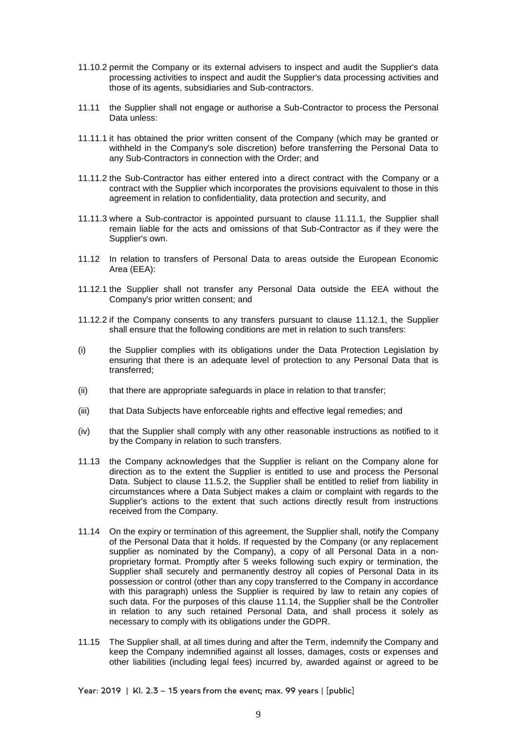- 11.10.2 permit the Company or its external advisers to inspect and audit the Supplier's data processing activities to inspect and audit the Supplier's data processing activities and those of its agents, subsidiaries and Sub-contractors.
- 11.11 the Supplier shall not engage or authorise a Sub-Contractor to process the Personal Data unless:
- 11.11.1 it has obtained the prior written consent of the Company (which may be granted or withheld in the Company's sole discretion) before transferring the Personal Data to any Sub-Contractors in connection with the Order; and
- 11.11.2 the Sub-Contractor has either entered into a direct contract with the Company or a contract with the Supplier which incorporates the provisions equivalent to those in this agreement in relation to confidentiality, data protection and security, and
- 11.11.3 where a Sub-contractor is appointed pursuant to clause 11.11.1, the Supplier shall remain liable for the acts and omissions of that Sub-Contractor as if they were the Supplier's own.
- 11.12 In relation to transfers of Personal Data to areas outside the European Economic Area (EEA):
- 11.12.1 the Supplier shall not transfer any Personal Data outside the EEA without the Company's prior written consent; and
- 11.12.2 if the Company consents to any transfers pursuant to clause 11.12.1, the Supplier shall ensure that the following conditions are met in relation to such transfers:
- (i) the Supplier complies with its obligations under the Data Protection Legislation by ensuring that there is an adequate level of protection to any Personal Data that is transferred;
- (ii) that there are appropriate safeguards in place in relation to that transfer;
- (iii) that Data Subjects have enforceable rights and effective legal remedies; and
- (iv) that the Supplier shall comply with any other reasonable instructions as notified to it by the Company in relation to such transfers.
- 11.13 the Company acknowledges that the Supplier is reliant on the Company alone for direction as to the extent the Supplier is entitled to use and process the Personal Data. Subject to clause 11.5.2, the Supplier shall be entitled to relief from liability in circumstances where a Data Subject makes a claim or complaint with regards to the Supplier's actions to the extent that such actions directly result from instructions received from the Company.
- 11.14 On the expiry or termination of this agreement, the Supplier shall, notify the Company of the Personal Data that it holds. If requested by the Company (or any replacement supplier as nominated by the Company), a copy of all Personal Data in a nonproprietary format. Promptly after 5 weeks following such expiry or termination, the Supplier shall securely and permanently destroy all copies of Personal Data in its possession or control (other than any copy transferred to the Company in accordance with this paragraph) unless the Supplier is required by law to retain any copies of such data. For the purposes of this clause 11.14, the Supplier shall be the Controller in relation to any such retained Personal Data, and shall process it solely as necessary to comply with its obligations under the GDPR.
- 11.15 The Supplier shall, at all times during and after the Term, indemnify the Company and keep the Company indemnified against all losses, damages, costs or expenses and other liabilities (including legal fees) incurred by, awarded against or agreed to be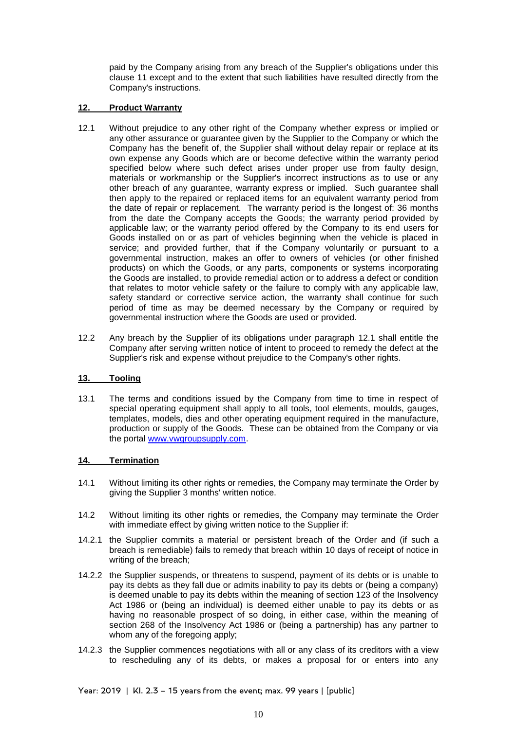paid by the Company arising from any breach of the Supplier's obligations under this clause 11 except and to the extent that such liabilities have resulted directly from the Company's instructions.

## **12. Product Warranty**

- 12.1 Without prejudice to any other right of the Company whether express or implied or any other assurance or guarantee given by the Supplier to the Company or which the Company has the benefit of, the Supplier shall without delay repair or replace at its own expense any Goods which are or become defective within the warranty period specified below where such defect arises under proper use from faulty design, materials or workmanship or the Supplier's incorrect instructions as to use or any other breach of any guarantee, warranty express or implied. Such guarantee shall then apply to the repaired or replaced items for an equivalent warranty period from the date of repair or replacement. The warranty period is the longest of: 36 months from the date the Company accepts the Goods; the warranty period provided by applicable law; or the warranty period offered by the Company to its end users for Goods installed on or as part of vehicles beginning when the vehicle is placed in service; and provided further, that if the Company voluntarily or pursuant to a governmental instruction, makes an offer to owners of vehicles (or other finished products) on which the Goods, or any parts, components or systems incorporating the Goods are installed, to provide remedial action or to address a defect or condition that relates to motor vehicle safety or the failure to comply with any applicable law, safety standard or corrective service action, the warranty shall continue for such period of time as may be deemed necessary by the Company or required by governmental instruction where the Goods are used or provided.
- 12.2 Any breach by the Supplier of its obligations under paragraph 12.1 shall entitle the Company after serving written notice of intent to proceed to remedy the defect at the Supplier's risk and expense without prejudice to the Company's other rights.

# **13. Tooling**

13.1 The terms and conditions issued by the Company from time to time in respect of special operating equipment shall apply to all tools, tool elements, moulds, gauges, templates, models, dies and other operating equipment required in the manufacture, production or supply of the Goods. These can be obtained from the Company or via the portal [www.vwgroupsupply.com.](http://www.vwgroupsupply.com/)

# **14. Termination**

- 14.1 Without limiting its other rights or remedies, the Company may terminate the Order by giving the Supplier 3 months' written notice.
- 14.2 Without limiting its other rights or remedies, the Company may terminate the Order with immediate effect by giving written notice to the Supplier if:
- 14.2.1 the Supplier commits a material or persistent breach of the Order and (if such a breach is remediable) fails to remedy that breach within 10 days of receipt of notice in writing of the breach;
- 14.2.2 the Supplier suspends, or threatens to suspend, payment of its debts or is unable to pay its debts as they fall due or admits inability to pay its debts or (being a company) is deemed unable to pay its debts within the meaning of section 123 of the Insolvency Act 1986 or (being an individual) is deemed either unable to pay its debts or as having no reasonable prospect of so doing, in either case, within the meaning of section 268 of the Insolvency Act 1986 or (being a partnership) has any partner to whom any of the foregoing apply;
- 14.2.3 the Supplier commences negotiations with all or any class of its creditors with a view to rescheduling any of its debts, or makes a proposal for or enters into any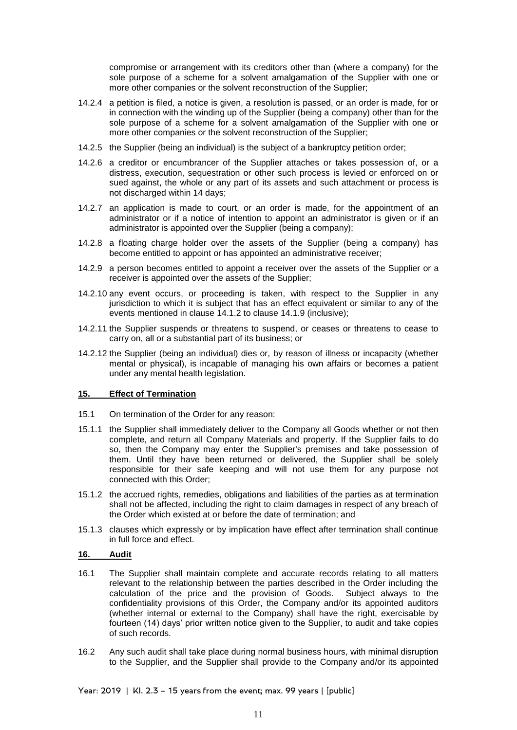compromise or arrangement with its creditors other than (where a company) for the sole purpose of a scheme for a solvent amalgamation of the Supplier with one or more other companies or the solvent reconstruction of the Supplier;

- 14.2.4 a petition is filed, a notice is given, a resolution is passed, or an order is made, for or in connection with the winding up of the Supplier (being a company) other than for the sole purpose of a scheme for a solvent amalgamation of the Supplier with one or more other companies or the solvent reconstruction of the Supplier;
- 14.2.5 the Supplier (being an individual) is the subject of a bankruptcy petition order;
- 14.2.6 a creditor or encumbrancer of the Supplier attaches or takes possession of, or a distress, execution, sequestration or other such process is levied or enforced on or sued against, the whole or any part of its assets and such attachment or process is not discharged within 14 days;
- 14.2.7 an application is made to court, or an order is made, for the appointment of an administrator or if a notice of intention to appoint an administrator is given or if an administrator is appointed over the Supplier (being a company);
- 14.2.8 a floating charge holder over the assets of the Supplier (being a company) has become entitled to appoint or has appointed an administrative receiver;
- 14.2.9 a person becomes entitled to appoint a receiver over the assets of the Supplier or a receiver is appointed over the assets of the Supplier;
- 14.2.10 any event occurs, or proceeding is taken, with respect to the Supplier in any jurisdiction to which it is subject that has an effect equivalent or similar to any of the events mentioned in clause 14.1.2 to clause 14.1.9 (inclusive);
- 14.2.11 the Supplier suspends or threatens to suspend, or ceases or threatens to cease to carry on, all or a substantial part of its business; or
- 14.2.12 the Supplier (being an individual) dies or, by reason of illness or incapacity (whether mental or physical), is incapable of managing his own affairs or becomes a patient under any mental health legislation.

### **15. Effect of Termination**

- 15.1 On termination of the Order for any reason:
- 15.1.1 the Supplier shall immediately deliver to the Company all Goods whether or not then complete, and return all Company Materials and property. If the Supplier fails to do so, then the Company may enter the Supplier's premises and take possession of them. Until they have been returned or delivered, the Supplier shall be solely responsible for their safe keeping and will not use them for any purpose not connected with this Order;
- 15.1.2 the accrued rights, remedies, obligations and liabilities of the parties as at termination shall not be affected, including the right to claim damages in respect of any breach of the Order which existed at or before the date of termination; and
- 15.1.3 clauses which expressly or by implication have effect after termination shall continue in full force and effect.

### **16. Audit**

- 16.1 The Supplier shall maintain complete and accurate records relating to all matters relevant to the relationship between the parties described in the Order including the calculation of the price and the provision of Goods. Subject always to the confidentiality provisions of this Order, the Company and/or its appointed auditors (whether internal or external to the Company) shall have the right, exercisable by fourteen (14) days' prior written notice given to the Supplier, to audit and take copies of such records.
- 16.2 Any such audit shall take place during normal business hours, with minimal disruption to the Supplier, and the Supplier shall provide to the Company and/or its appointed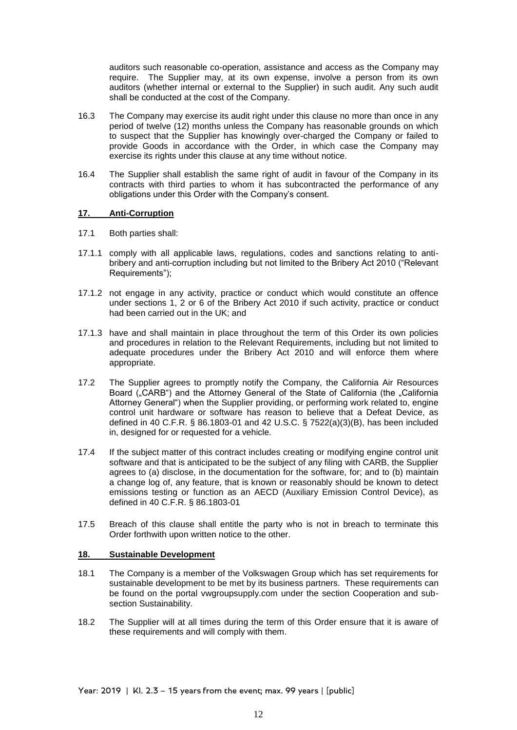auditors such reasonable co-operation, assistance and access as the Company may require. The Supplier may, at its own expense, involve a person from its own auditors (whether internal or external to the Supplier) in such audit. Any such audit shall be conducted at the cost of the Company.

- 16.3 The Company may exercise its audit right under this clause no more than once in any period of twelve (12) months unless the Company has reasonable grounds on which to suspect that the Supplier has knowingly over-charged the Company or failed to provide Goods in accordance with the Order, in which case the Company may exercise its rights under this clause at any time without notice.
- 16.4 The Supplier shall establish the same right of audit in favour of the Company in its contracts with third parties to whom it has subcontracted the performance of any obligations under this Order with the Company's consent.

### **17. Anti-Corruption**

- 17.1 Both parties shall:
- 17.1.1 comply with all applicable laws, regulations, codes and sanctions relating to antibribery and anti-corruption including but not limited to the Bribery Act 2010 ("Relevant Requirements");
- 17.1.2 not engage in any activity, practice or conduct which would constitute an offence under sections 1, 2 or 6 of the Bribery Act 2010 if such activity, practice or conduct had been carried out in the UK; and
- 17.1.3 have and shall maintain in place throughout the term of this Order its own policies and procedures in relation to the Relevant Requirements, including but not limited to adequate procedures under the Bribery Act 2010 and will enforce them where appropriate.
- 17.2 The Supplier agrees to promptly notify the Company, the California Air Resources Board ("CARB") and the Attorney General of the State of California (the "California Attorney General") when the Supplier providing, or performing work related to, engine control unit hardware or software has reason to believe that a Defeat Device, as defined in 40 C.F.R. § 86.1803-01 and 42 U.S.C. § 7522(a)(3)(B), has been included in, designed for or requested for a vehicle.
- 17.4 If the subject matter of this contract includes creating or modifying engine control unit software and that is anticipated to be the subject of any filing with CARB, the Supplier agrees to (a) disclose, in the documentation for the software, for; and to (b) maintain a change log of, any feature, that is known or reasonably should be known to detect emissions testing or function as an AECD (Auxiliary Emission Control Device), as defined in 40 C.F.R. § 86.1803-01
- 17.5 Breach of this clause shall entitle the party who is not in breach to terminate this Order forthwith upon written notice to the other.

### **18. Sustainable Development**

- 18.1 The Company is a member of the Volkswagen Group which has set requirements for sustainable development to be met by its business partners. These requirements can be found on the portal vwgroupsupply.com under the section Cooperation and subsection Sustainability.
- 18.2 The Supplier will at all times during the term of this Order ensure that it is aware of these requirements and will comply with them.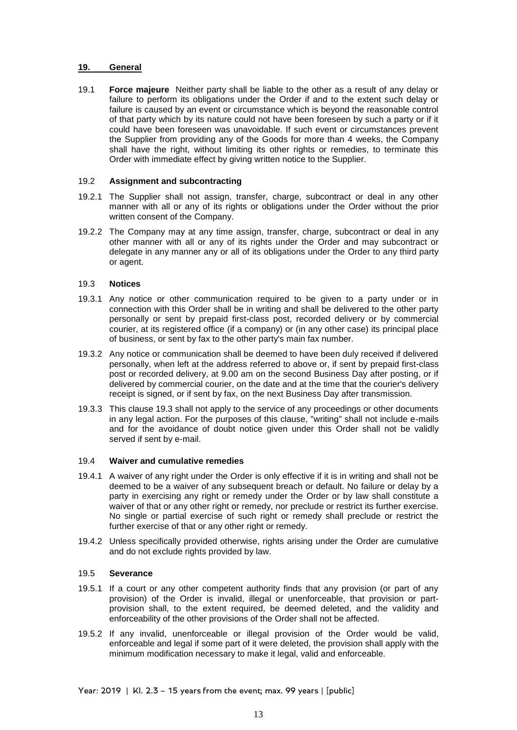### **19. General**

19.1 **Force majeure** Neither party shall be liable to the other as a result of any delay or failure to perform its obligations under the Order if and to the extent such delay or failure is caused by an event or circumstance which is beyond the reasonable control of that party which by its nature could not have been foreseen by such a party or if it could have been foreseen was unavoidable. If such event or circumstances prevent the Supplier from providing any of the Goods for more than 4 weeks, the Company shall have the right, without limiting its other rights or remedies, to terminate this Order with immediate effect by giving written notice to the Supplier.

## 19.2 **Assignment and subcontracting**

- 19.2.1 The Supplier shall not assign, transfer, charge, subcontract or deal in any other manner with all or any of its rights or obligations under the Order without the prior written consent of the Company.
- 19.2.2 The Company may at any time assign, transfer, charge, subcontract or deal in any other manner with all or any of its rights under the Order and may subcontract or delegate in any manner any or all of its obligations under the Order to any third party or agent.

# 19.3 **Notices**

- 19.3.1 Any notice or other communication required to be given to a party under or in connection with this Order shall be in writing and shall be delivered to the other party personally or sent by prepaid first-class post, recorded delivery or by commercial courier, at its registered office (if a company) or (in any other case) its principal place of business, or sent by fax to the other party's main fax number.
- 19.3.2 Any notice or communication shall be deemed to have been duly received if delivered personally, when left at the address referred to above or, if sent by prepaid first-class post or recorded delivery, at 9.00 am on the second Business Day after posting, or if delivered by commercial courier, on the date and at the time that the courier's delivery receipt is signed, or if sent by fax, on the next Business Day after transmission.
- 19.3.3 This clause 19.3 shall not apply to the service of any proceedings or other documents in any legal action. For the purposes of this clause, "writing" shall not include e-mails and for the avoidance of doubt notice given under this Order shall not be validly served if sent by e-mail.

# 19.4 **Waiver and cumulative remedies**

- 19.4.1 A waiver of any right under the Order is only effective if it is in writing and shall not be deemed to be a waiver of any subsequent breach or default. No failure or delay by a party in exercising any right or remedy under the Order or by law shall constitute a waiver of that or any other right or remedy, nor preclude or restrict its further exercise. No single or partial exercise of such right or remedy shall preclude or restrict the further exercise of that or any other right or remedy.
- 19.4.2 Unless specifically provided otherwise, rights arising under the Order are cumulative and do not exclude rights provided by law.

### 19.5 **Severance**

- 19.5.1 If a court or any other competent authority finds that any provision (or part of any provision) of the Order is invalid, illegal or unenforceable, that provision or partprovision shall, to the extent required, be deemed deleted, and the validity and enforceability of the other provisions of the Order shall not be affected.
- 19.5.2 If any invalid, unenforceable or illegal provision of the Order would be valid, enforceable and legal if some part of it were deleted, the provision shall apply with the minimum modification necessary to make it legal, valid and enforceable.